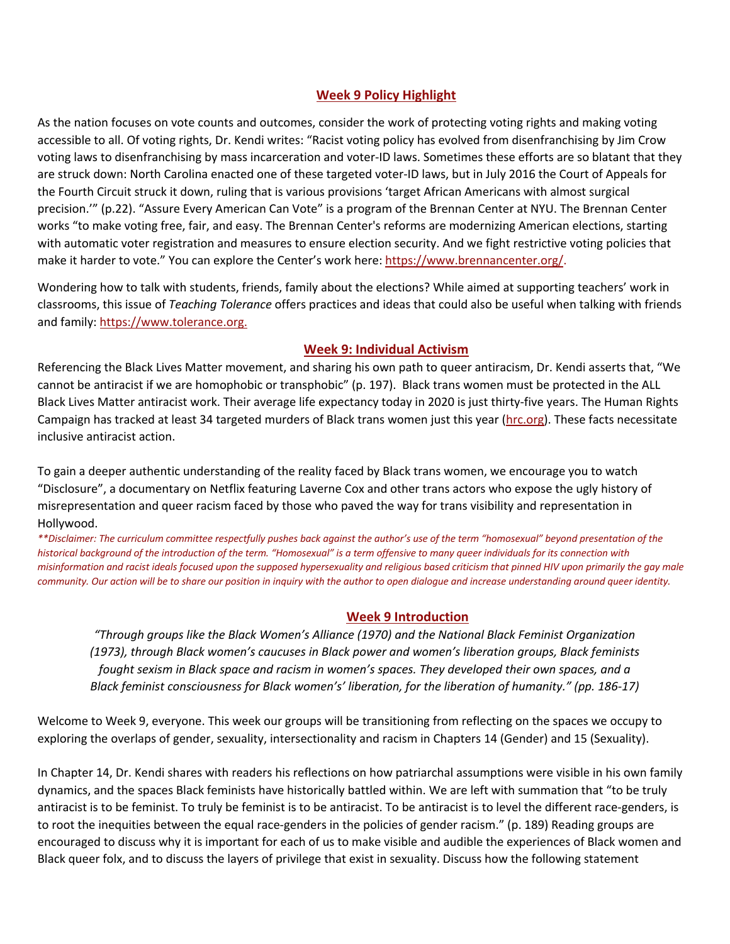## **Week 9 Policy Highlight**

As the nation focuses on vote counts and outcomes, consider the work of protecting voting rights and making voting accessible to all. Of voting rights, Dr. Kendi writes: "Racist voting policy has evolved from disenfranchising by Jim Crow voting laws to disenfranchising by mass incarceration and voter-ID laws. Sometimes these efforts are so blatant that they are struck down: North Carolina enacted one of these targeted voter-ID laws, but in July 2016 the Court of Appeals for the Fourth Circuit struck it down, ruling that is various provisions 'target African Americans with almost surgical precision.'" (p.22). "Assure Every American Can Vote" is a program of the Brennan Center at NYU. The Brennan Center works "to make voting free, fair, and easy. The Brennan Center's reforms are modernizing American elections, starting with automatic voter registration and measures to ensure election security. And we fight restrictive voting policies that make it harder to vote." You can explore the Center's work here: https://www.brennancenter.org/.

Wondering how to talk with students, friends, family about the elections? While aimed at supporting teachers' work in classrooms, this issue of *Teaching Tolerance* offers practices and ideas that could also be useful when talking with friends and family: https://www.tolerance.org.

## **Week 9: Individual Activism**

Referencing the Black Lives Matter movement, and sharing his own path to queer antiracism, Dr. Kendi asserts that, "We cannot be antiracist if we are homophobic or transphobic" (p. 197). Black trans women must be protected in the ALL Black Lives Matter antiracist work. Their average life expectancy today in 2020 is just thirty-five years. The Human Rights Campaign has tracked at least 34 targeted murders of Black trans women just this year (hrc.org). These facts necessitate inclusive antiracist action.

To gain a deeper authentic understanding of the reality faced by Black trans women, we encourage you to watch "Disclosure", a documentary on Netflix featuring Laverne Cox and other trans actors who expose the ugly history of misrepresentation and queer racism faced by those who paved the way for trans visibility and representation in Hollywood.

*\*\*Disclaimer: The curriculum committee respectfully pushes back against the author's use of the term "homosexual" beyond presentation of the historical background of the introduction of the term. "Homosexual" is a term offensive to many queer individuals for its connection with misinformation and racist ideals focused upon the supposed hypersexuality and religious based criticism that pinned HIV upon primarily the gay male community. Our action will be to share our position in inquiry with the author to open dialogue and increase understanding around queer identity.*

## **Week 9 Introduction**

*"Through groups like the Black Women's Alliance (1970) and the National Black Feminist Organization (1973), through Black women's caucuses in Black power and women's liberation groups, Black feminists fought sexism in Black space and racism in women's spaces. They developed their own spaces, and a Black feminist consciousness for Black women's' liberation, for the liberation of humanity." (pp. 186-17)*

Welcome to Week 9, everyone. This week our groups will be transitioning from reflecting on the spaces we occupy to exploring the overlaps of gender, sexuality, intersectionality and racism in Chapters 14 (Gender) and 15 (Sexuality).

In Chapter 14, Dr. Kendi shares with readers his reflections on how patriarchal assumptions were visible in his own family dynamics, and the spaces Black feminists have historically battled within. We are left with summation that "to be truly antiracist is to be feminist. To truly be feminist is to be antiracist. To be antiracist is to level the different race-genders, is to root the inequities between the equal race-genders in the policies of gender racism." (p. 189) Reading groups are encouraged to discuss why it is important for each of us to make visible and audible the experiences of Black women and Black queer folx, and to discuss the layers of privilege that exist in sexuality. Discuss how the following statement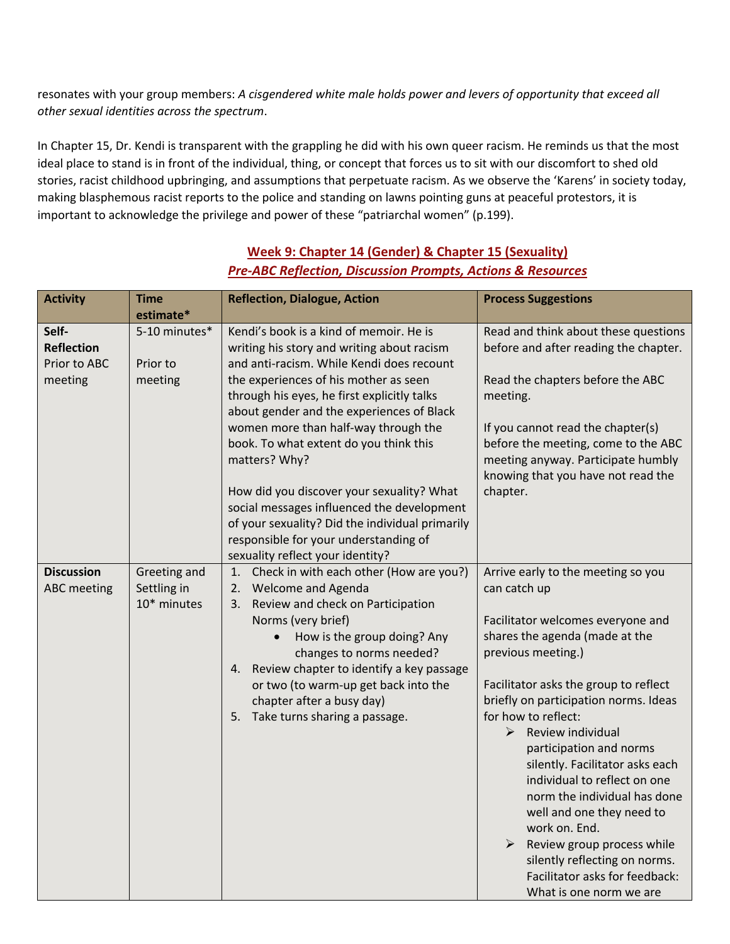resonates with your group members: *A cisgendered white male holds power and levers of opportunity that exceed all other sexual identities across the spectrum*.

In Chapter 15, Dr. Kendi is transparent with the grappling he did with his own queer racism. He reminds us that the most ideal place to stand is in front of the individual, thing, or concept that forces us to sit with our discomfort to shed old stories, racist childhood upbringing, and assumptions that perpetuate racism. As we observe the 'Karens' in society today, making blasphemous racist reports to the police and standing on lawns pointing guns at peaceful protestors, it is important to acknowledge the privilege and power of these "patriarchal women" (p.199).

| <b>Activity</b>                                       | <b>Time</b>                                | <b>Reflection, Dialogue, Action</b>                                                                                                                                                                                                                                                                                                                                                                                                                                                                                                                               | <b>Process Suggestions</b>                                                                                                                                                                                                                                                                                                                                                                                                                                                                                                                                                                 |
|-------------------------------------------------------|--------------------------------------------|-------------------------------------------------------------------------------------------------------------------------------------------------------------------------------------------------------------------------------------------------------------------------------------------------------------------------------------------------------------------------------------------------------------------------------------------------------------------------------------------------------------------------------------------------------------------|--------------------------------------------------------------------------------------------------------------------------------------------------------------------------------------------------------------------------------------------------------------------------------------------------------------------------------------------------------------------------------------------------------------------------------------------------------------------------------------------------------------------------------------------------------------------------------------------|
|                                                       | estimate*                                  |                                                                                                                                                                                                                                                                                                                                                                                                                                                                                                                                                                   |                                                                                                                                                                                                                                                                                                                                                                                                                                                                                                                                                                                            |
| Self-<br><b>Reflection</b><br>Prior to ABC<br>meeting | 5-10 minutes*<br>Prior to<br>meeting       | Kendi's book is a kind of memoir. He is<br>writing his story and writing about racism<br>and anti-racism. While Kendi does recount<br>the experiences of his mother as seen<br>through his eyes, he first explicitly talks<br>about gender and the experiences of Black<br>women more than half-way through the<br>book. To what extent do you think this<br>matters? Why?<br>How did you discover your sexuality? What<br>social messages influenced the development<br>of your sexuality? Did the individual primarily<br>responsible for your understanding of | Read and think about these questions<br>before and after reading the chapter.<br>Read the chapters before the ABC<br>meeting.<br>If you cannot read the chapter(s)<br>before the meeting, come to the ABC<br>meeting anyway. Participate humbly<br>knowing that you have not read the<br>chapter.                                                                                                                                                                                                                                                                                          |
| <b>Discussion</b><br><b>ABC</b> meeting               | Greeting and<br>Settling in<br>10* minutes | sexuality reflect your identity?<br>1. Check in with each other (How are you?)<br>Welcome and Agenda<br>2.<br>Review and check on Participation<br>3.<br>Norms (very brief)<br>How is the group doing? Any<br>changes to norms needed?<br>Review chapter to identify a key passage<br>4.<br>or two (to warm-up get back into the<br>chapter after a busy day)<br>Take turns sharing a passage.<br>5.                                                                                                                                                              | Arrive early to the meeting so you<br>can catch up<br>Facilitator welcomes everyone and<br>shares the agenda (made at the<br>previous meeting.)<br>Facilitator asks the group to reflect<br>briefly on participation norms. Ideas<br>for how to reflect:<br>Review individual<br>➤<br>participation and norms<br>silently. Facilitator asks each<br>individual to reflect on one<br>norm the individual has done<br>well and one they need to<br>work on. End.<br>Review group process while<br>silently reflecting on norms.<br>Facilitator asks for feedback:<br>What is one norm we are |

## **Week 9: Chapter 14 (Gender) & Chapter 15 (Sexuality)** *Pre-ABC Reflection, Discussion Prompts, Actions & Resources*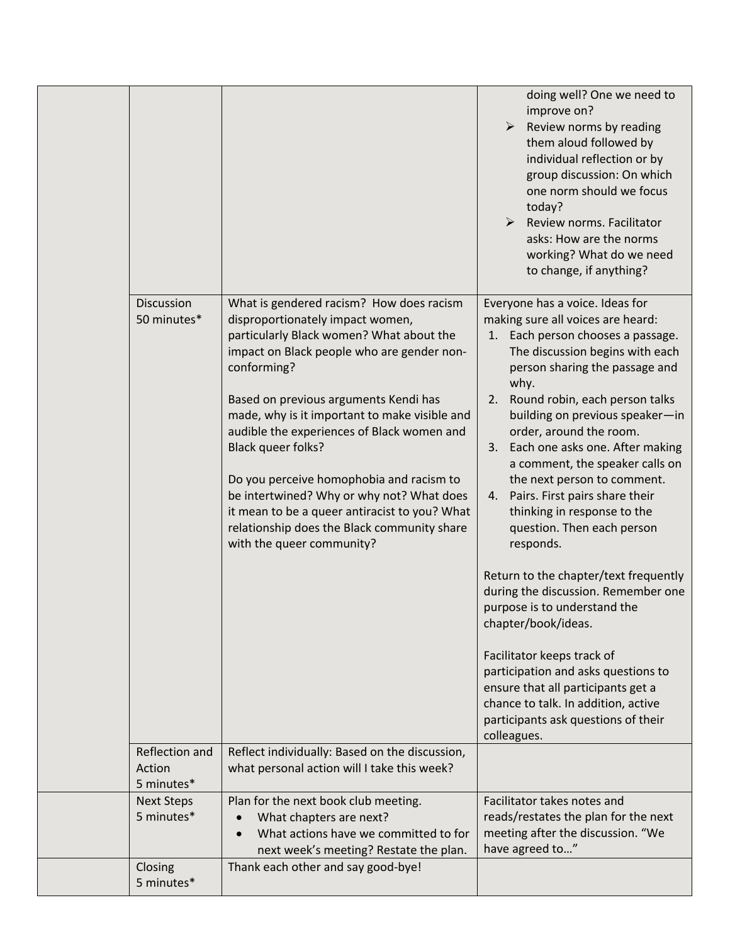|                                 |                                                                                                                                                                                                                                                                                                                                                                                                                                                                                                                                                                           | doing well? One we need to<br>improve on?<br>Review norms by reading<br>them aloud followed by<br>individual reflection or by<br>group discussion: On which<br>one norm should we focus<br>today?<br>$\blacktriangleright$<br>Review norms. Facilitator<br>asks: How are the norms<br>working? What do we need<br>to change, if anything?                                                                                                                                                                                                                                                                                                                                                                                                                                                                                                                                |
|---------------------------------|---------------------------------------------------------------------------------------------------------------------------------------------------------------------------------------------------------------------------------------------------------------------------------------------------------------------------------------------------------------------------------------------------------------------------------------------------------------------------------------------------------------------------------------------------------------------------|--------------------------------------------------------------------------------------------------------------------------------------------------------------------------------------------------------------------------------------------------------------------------------------------------------------------------------------------------------------------------------------------------------------------------------------------------------------------------------------------------------------------------------------------------------------------------------------------------------------------------------------------------------------------------------------------------------------------------------------------------------------------------------------------------------------------------------------------------------------------------|
| Discussion<br>50 minutes*       | What is gendered racism? How does racism<br>disproportionately impact women,<br>particularly Black women? What about the<br>impact on Black people who are gender non-<br>conforming?<br>Based on previous arguments Kendi has<br>made, why is it important to make visible and<br>audible the experiences of Black women and<br>Black queer folks?<br>Do you perceive homophobia and racism to<br>be intertwined? Why or why not? What does<br>it mean to be a queer antiracist to you? What<br>relationship does the Black community share<br>with the queer community? | Everyone has a voice. Ideas for<br>making sure all voices are heard:<br>1. Each person chooses a passage.<br>The discussion begins with each<br>person sharing the passage and<br>why.<br>Round robin, each person talks<br>2.<br>building on previous speaker-in<br>order, around the room.<br>Each one asks one. After making<br>3.<br>a comment, the speaker calls on<br>the next person to comment.<br>Pairs. First pairs share their<br>4.<br>thinking in response to the<br>question. Then each person<br>responds.<br>Return to the chapter/text frequently<br>during the discussion. Remember one<br>purpose is to understand the<br>chapter/book/ideas.<br>Facilitator keeps track of<br>participation and asks questions to<br>ensure that all participants get a<br>chance to talk. In addition, active<br>participants ask questions of their<br>colleagues. |
| Reflection and<br>Action        | Reflect individually: Based on the discussion,<br>what personal action will I take this week?                                                                                                                                                                                                                                                                                                                                                                                                                                                                             |                                                                                                                                                                                                                                                                                                                                                                                                                                                                                                                                                                                                                                                                                                                                                                                                                                                                          |
| 5 minutes*                      |                                                                                                                                                                                                                                                                                                                                                                                                                                                                                                                                                                           |                                                                                                                                                                                                                                                                                                                                                                                                                                                                                                                                                                                                                                                                                                                                                                                                                                                                          |
| <b>Next Steps</b><br>5 minutes* | Plan for the next book club meeting.<br>What chapters are next?<br>What actions have we committed to for<br>next week's meeting? Restate the plan.                                                                                                                                                                                                                                                                                                                                                                                                                        | Facilitator takes notes and<br>reads/restates the plan for the next<br>meeting after the discussion. "We<br>have agreed to"                                                                                                                                                                                                                                                                                                                                                                                                                                                                                                                                                                                                                                                                                                                                              |
| Closing                         | Thank each other and say good-bye!                                                                                                                                                                                                                                                                                                                                                                                                                                                                                                                                        |                                                                                                                                                                                                                                                                                                                                                                                                                                                                                                                                                                                                                                                                                                                                                                                                                                                                          |
| 5 minutes*                      |                                                                                                                                                                                                                                                                                                                                                                                                                                                                                                                                                                           |                                                                                                                                                                                                                                                                                                                                                                                                                                                                                                                                                                                                                                                                                                                                                                                                                                                                          |